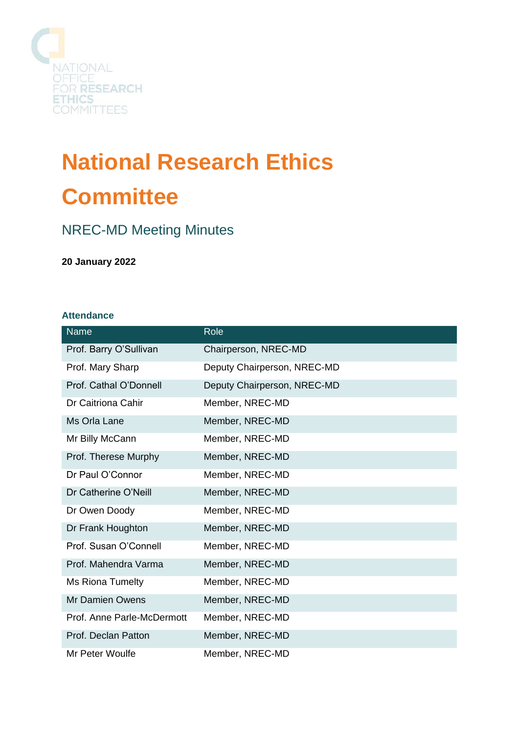

# **National Research Ethics Committee**

## NREC-MD Meeting Minutes

#### **20 January 2022**

#### **Attendance**

| <b>Name</b>                | Role                        |
|----------------------------|-----------------------------|
| Prof. Barry O'Sullivan     | Chairperson, NREC-MD        |
| Prof. Mary Sharp           | Deputy Chairperson, NREC-MD |
| Prof. Cathal O'Donnell     | Deputy Chairperson, NREC-MD |
| Dr Caitriona Cahir         | Member, NREC-MD             |
| Ms Orla Lane               | Member, NREC-MD             |
| Mr Billy McCann            | Member, NREC-MD             |
| Prof. Therese Murphy       | Member, NREC-MD             |
| Dr Paul O'Connor           | Member, NREC-MD             |
| Dr Catherine O'Neill       | Member, NREC-MD             |
| Dr Owen Doody              | Member, NREC-MD             |
| Dr Frank Houghton          | Member, NREC-MD             |
| Prof. Susan O'Connell      | Member, NREC-MD             |
| Prof. Mahendra Varma       | Member, NREC-MD             |
| Ms Riona Tumelty           | Member, NREC-MD             |
| <b>Mr Damien Owens</b>     | Member, NREC-MD             |
| Prof. Anne Parle-McDermott | Member, NREC-MD             |
| Prof. Declan Patton        | Member, NREC-MD             |
| Mr Peter Woulfe            | Member, NREC-MD             |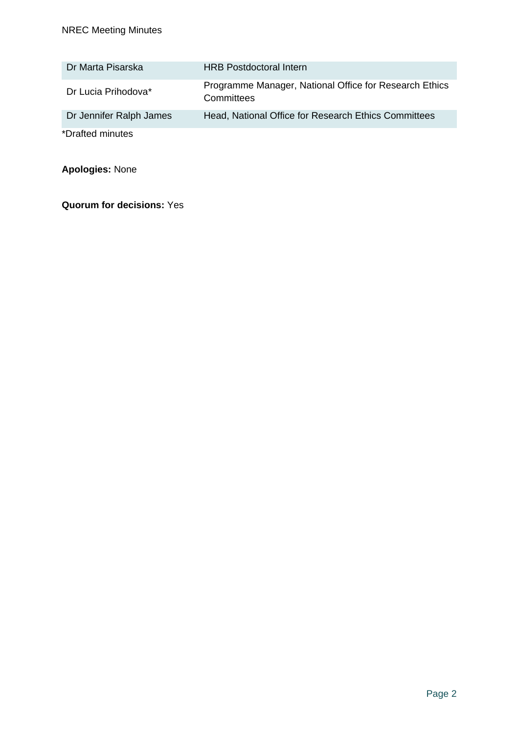| Dr Marta Pisarska       | <b>HRB</b> Postdoctoral Intern                                       |
|-------------------------|----------------------------------------------------------------------|
| Dr Lucia Prihodova*     | Programme Manager, National Office for Research Ethics<br>Committees |
| Dr Jennifer Ralph James | Head, National Office for Research Ethics Committees                 |
| *Drafted minutes        |                                                                      |

**Apologies:** None

**Quorum for decisions:** Yes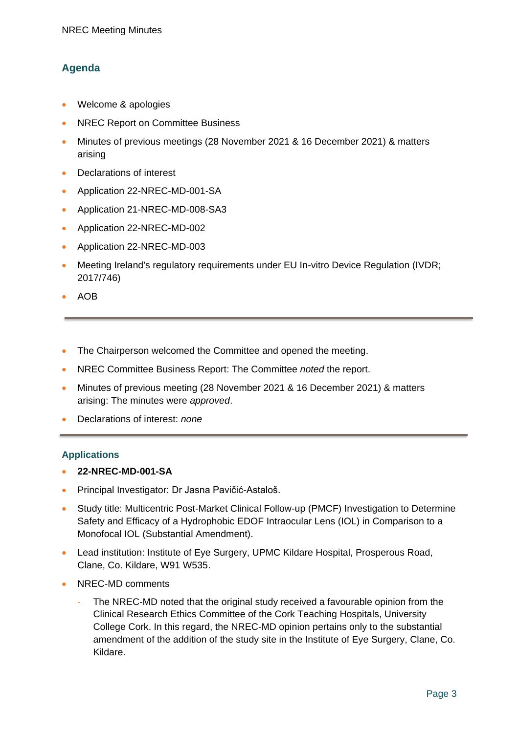### **Agenda**

- Welcome & apologies
- NREC Report on Committee Business
- Minutes of previous meetings (28 November 2021 & 16 December 2021) & matters arising
- Declarations of interest
- Application 22-NREC-MD-001-SA
- Application 21-NREC-MD-008-SA3
- Application 22-NREC-MD-002
- Application 22-NREC-MD-003
- Meeting Ireland's regulatory requirements under EU In-vitro Device Regulation (IVDR; 2017/746)
- AOB
- The Chairperson welcomed the Committee and opened the meeting.
- NREC Committee Business Report: The Committee *noted* the report.
- Minutes of previous meeting (28 November 2021 & 16 December 2021) & matters arising: The minutes were *approved*.
- Declarations of interest: *none*

#### **Applications**

- **22-NREC-MD-001-SA**
- Principal Investigator: Dr Jasna Pavičić-Astaloš.
- Study title: Multicentric Post-Market Clinical Follow-up (PMCF) Investigation to Determine Safety and Efficacy of a Hydrophobic EDOF Intraocular Lens (IOL) in Comparison to a Monofocal IOL (Substantial Amendment).
- Lead institution: Institute of Eye Surgery, UPMC Kildare Hospital, Prosperous Road, Clane, Co. Kildare, W91 W535.
- NREC-MD comments
	- The NREC-MD noted that the original study received a favourable opinion from the Clinical Research Ethics Committee of the Cork Teaching Hospitals, University College Cork. In this regard, the NREC-MD opinion pertains only to the substantial amendment of the addition of the study site in the Institute of Eye Surgery, Clane, Co. Kildare.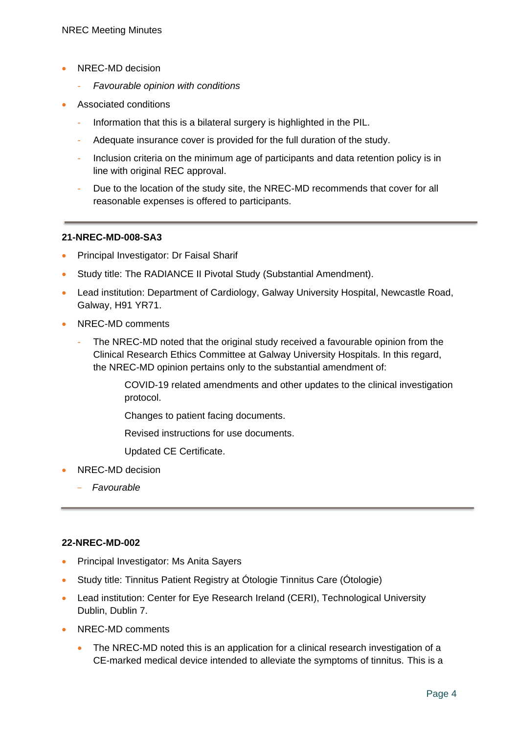- NREC-MD decision
	- *Favourable opinion with conditions*
- Associated conditions
	- Information that this is a bilateral surgery is highlighted in the PIL.
	- Adequate insurance cover is provided for the full duration of the study.
	- Inclusion criteria on the minimum age of participants and data retention policy is in line with original REC approval.
	- Due to the location of the study site, the NREC-MD recommends that cover for all reasonable expenses is offered to participants.

#### **21-NREC-MD-008-SA3**

- Principal Investigator: Dr Faisal Sharif
- Study title: The RADIANCE II Pivotal Study (Substantial Amendment).
- Lead institution: Department of Cardiology, Galway University Hospital, Newcastle Road, Galway, H91 YR71.
- NREC-MD comments
	- The NREC-MD noted that the original study received a favourable opinion from the Clinical Research Ethics Committee at Galway University Hospitals. In this regard, the NREC-MD opinion pertains only to the substantial amendment of:

COVID-19 related amendments and other updates to the clinical investigation protocol.

Changes to patient facing documents.

Revised instructions for use documents.

Updated CE Certificate.

- NREC-MD decision
	- *Favourable*

#### **22-NREC-MD-002**

- Principal Investigator: Ms Anita Sayers
- Study title: Tinnitus Patient Registry at Ótologie Tinnitus Care (Ótologie)
- Lead institution: Center for Eye Research Ireland (CERI), Technological University Dublin, Dublin 7.
- NREC-MD comments
	- The NREC-MD noted this is an application for a clinical research investigation of a CE-marked medical device intended to alleviate the symptoms of tinnitus. This is a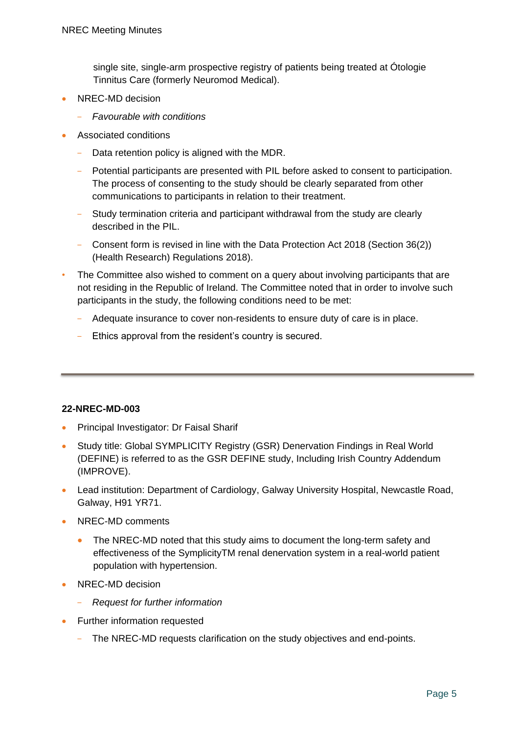single site, single-arm prospective registry of patients being treated at Ótologie Tinnitus Care (formerly Neuromod Medical).

- NREC-MD decision
	- *Favourable with conditions*
- Associated conditions
	- Data retention policy is aligned with the MDR.
	- Potential participants are presented with PIL before asked to consent to participation. The process of consenting to the study should be clearly separated from other communications to participants in relation to their treatment.
	- Study termination criteria and participant withdrawal from the study are clearly described in the PIL.
	- Consent form is revised in line with the Data Protection Act 2018 (Section 36(2)) (Health Research) Regulations 2018).
- The Committee also wished to comment on a query about involving participants that are not residing in the Republic of Ireland. The Committee noted that in order to involve such participants in the study, the following conditions need to be met:
	- Adequate insurance to cover non-residents to ensure duty of care is in place.
	- Ethics approval from the resident's country is secured.

#### **22-NREC-MD-003**

- Principal Investigator: Dr Faisal Sharif
- Study title: Global SYMPLICITY Registry (GSR) Denervation Findings in Real World (DEFINE) is referred to as the GSR DEFINE study, Including Irish Country Addendum (IMPROVE).
- Lead institution: Department of Cardiology, Galway University Hospital, Newcastle Road, Galway, H91 YR71.
- NREC-MD comments
	- The NREC-MD noted that this study aims to document the long-term safety and effectiveness of the SymplicityTM renal denervation system in a real-world patient population with hypertension.
- NREC-MD decision
	- *Request for further information*
- Further information requested
	- The NREC-MD requests clarification on the study objectives and end-points.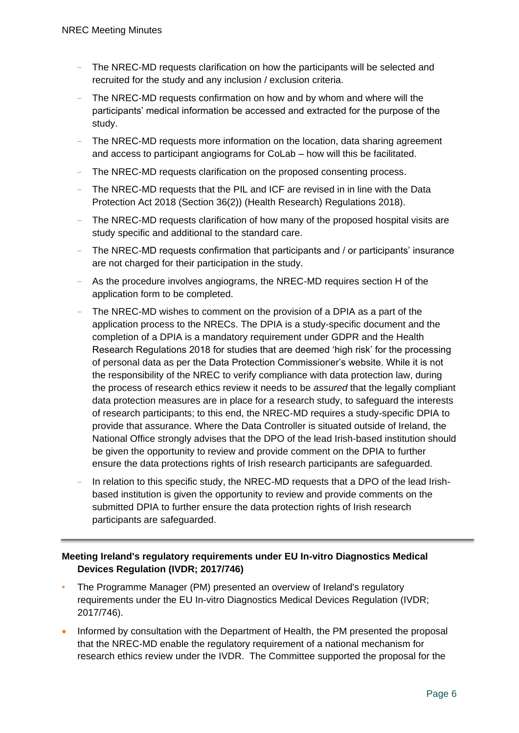- The NREC-MD requests clarification on how the participants will be selected and recruited for the study and any inclusion / exclusion criteria.
- The NREC-MD requests confirmation on how and by whom and where will the participants' medical information be accessed and extracted for the purpose of the study.
- The NREC-MD requests more information on the location, data sharing agreement and access to participant angiograms for CoLab – how will this be facilitated.
- The NREC-MD requests clarification on the proposed consenting process.
- The NREC-MD requests that the PIL and ICF are revised in in line with the Data Protection Act 2018 (Section 36(2)) (Health Research) Regulations 2018).
- The NREC-MD requests clarification of how many of the proposed hospital visits are study specific and additional to the standard care.
- The NREC-MD requests confirmation that participants and / or participants' insurance are not charged for their participation in the study.
- As the procedure involves angiograms, the NREC-MD requires section H of the application form to be completed.
- The NREC-MD wishes to comment on the provision of a DPIA as a part of the application process to the NRECs. The DPIA is a study-specific document and the completion of a DPIA is a mandatory requirement under GDPR and the Health Research Regulations 2018 for studies that are deemed 'high risk' for the processing of personal data as per the Data Protection Commissioner's website. While it is not the responsibility of the NREC to verify compliance with data protection law, during the process of research ethics review it needs to be *assured* that the legally compliant data protection measures are in place for a research study, to safeguard the interests of research participants; to this end, the NREC-MD requires a study-specific DPIA to provide that assurance. Where the Data Controller is situated outside of Ireland, the National Office strongly advises that the DPO of the lead Irish-based institution should be given the opportunity to review and provide comment on the DPIA to further ensure the data protections rights of Irish research participants are safeguarded.
- In relation to this specific study, the NREC-MD requests that a DPO of the lead Irishbased institution is given the opportunity to review and provide comments on the submitted DPIA to further ensure the data protection rights of Irish research participants are safeguarded.

#### **Meeting Ireland's regulatory requirements under EU In-vitro Diagnostics Medical Devices Regulation (IVDR; 2017/746)**

- The Programme Manager (PM) presented an overview of Ireland's regulatory requirements under the EU In-vitro Diagnostics Medical Devices Regulation (IVDR; 2017/746).
- Informed by consultation with the Department of Health, the PM presented the proposal that the NREC-MD enable the regulatory requirement of a national mechanism for research ethics review under the IVDR. The Committee supported the proposal for the